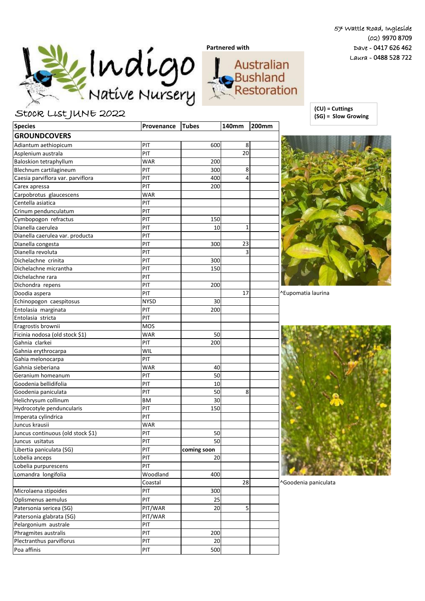57 Wattle Road, Ingleside (02) 9970 8709 Dave - 0417 626 462 Laura - 0488 528 722



## Stock List JUNE 2022

| <b>Species</b>                    | Provenance  | <b>Tubes</b> | 140mm | <b>200mm</b> |
|-----------------------------------|-------------|--------------|-------|--------------|
| <b>GROUNDCOVERS</b>               |             |              |       |              |
| Adiantum aethiopicum              | PIT         | 600          | 8     |              |
| Asplenium australa                | PIT         |              | 20    |              |
| <b>Baloskion tetraphyllum</b>     | <b>WAR</b>  | 200          |       |              |
| Blechnum cartilagineum            | PIT         | 300          | 8     |              |
| Caesia parviflora var. parviflora | PIT         | 400          | 4     |              |
| Carex apressa                     | PIT         | 200          |       |              |
| Carpobrotus glaucescens           | <b>WAR</b>  |              |       |              |
| Centella asiatica                 | PIT         |              |       |              |
| Crinum pendunculatum              | PIT         |              |       |              |
| Cymbopogon refractus              | PIT         | 150          |       |              |
| Dianella caerulea                 | PIT         | 10           | 1     |              |
| Dianella caerulea var. producta   | PIT         |              |       |              |
| Dianella congesta                 | PIT         | 300          | 23    |              |
| Dianella revoluta                 | PIT         |              | 3     |              |
| Dichelachne crinita               | PIT         | 300          |       |              |
| Dichelachne micrantha             | PIT         | 150          |       |              |
| Dichelachne rara                  | PIT         |              |       |              |
| Dichondra repens                  | PIT         | 200          |       |              |
| Doodia aspera                     | PIT         |              | 17    |              |
| Echinopogon caespitosus           | <b>NYSD</b> | 30           |       |              |
| Entolasia marginata               | PIT         | 200          |       |              |
| Entolasia stricta                 | PIT         |              |       |              |
| Eragrostis brownii                | <b>MOS</b>  |              |       |              |
| Ficinia nodosa (old stock \$1)    | <b>WAR</b>  | 50           |       |              |
| Gahnia clarkei                    | PIT         | 200          |       |              |
| Gahnia erythrocarpa               | WIL         |              |       |              |
| Gahia melonocarpa                 | PIT         |              |       |              |
| Gahnia sieberiana                 | <b>WAR</b>  | 40           |       |              |
| Geranium homeanum                 | PIT         | 50           |       |              |
| Goodenia bellidifolia             | PIT         | 10           |       |              |
| Goodenia paniculata               | PIT         | 50           | 8     |              |
| Helichrysum collinum              | <b>BM</b>   | 30           |       |              |
| Hydrocotyle penduncularis         | PIT         | 150          |       |              |
| Imperata cylindrica               | PIT         |              |       |              |
| Juncus krausii                    | <b>WAR</b>  |              |       |              |
| Juncus continuous (old stock \$1) | PIT         | 50           |       |              |
| Juncus usitatus                   | PIT         | 50           |       |              |
| Libertia paniculata (SG)          | PIT         | coming soon  |       |              |
| Lobelia anceps                    | PIT         | 20           |       |              |
| Lobelia purpurescens              | PIT         |              |       |              |
| Lomandra longifolia               | Woodland    | 400          |       |              |
|                                   | Coastal     |              | 28    |              |
| Microlaena stipoides              | PIT         | 300          |       |              |
| Oplismenus aemulus                | PIT         | 25           |       |              |
| Patersonia sericea (SG)           | PIT/WAR     | 20           | 5     |              |
| Patersonia glabrata (SG)          | PIT/WAR     |              |       |              |
| Pelargonium australe              | PIT         |              |       |              |
| Phragmites australis              | PIT         | 200          |       |              |
| Plectranthus parviflorus          | PIT         | 20           |       |              |
| Poa affinis                       | PIT         | 500          |       |              |
|                                   |             |              |       |              |

**(CU) = Cuttings (SG) = Slow Growing**



^Eupomatia laurina



^Goodenia paniculata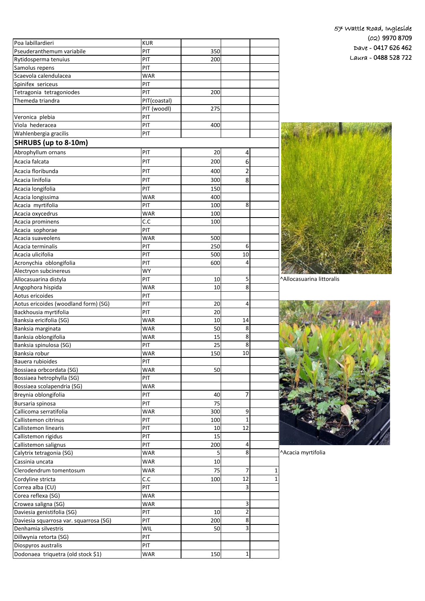| Poa labillardieri                      | <b>KUR</b>   |     |                |   |
|----------------------------------------|--------------|-----|----------------|---|
| Pseuderanthemum variabile              | PIT          | 350 |                |   |
| Rytidosperma tenuius                   | PIT          | 200 |                |   |
| Samolus repens                         | PIT          |     |                |   |
| Scaevola calendulacea                  | <b>WAR</b>   |     |                |   |
| Spinifex sericeus                      | PIT          |     |                |   |
| Tetragonia tetragoniodes               | PIT          | 200 |                |   |
| Themeda triandra                       | PIT(coastal) |     |                |   |
|                                        | PIT (woodl)  | 275 |                |   |
| Veronica plebia                        | PIT          |     |                |   |
| Viola hederacea                        | PIT          | 400 |                |   |
| Wahlenbergia gracilis                  | PIT          |     |                |   |
| <b>SHRUBS (up to 8-10m)</b>            |              |     |                |   |
| Abrophyllum ornans                     | PIT          | 20  | 4              |   |
| Acacia falcata                         | PIT          | 200 | 6              |   |
| Acacia floribunda                      | PIT          | 400 | $\overline{2}$ |   |
|                                        |              |     |                |   |
| Acacia linifolia                       | PIT          | 300 | 8              |   |
| Acacia longifolia                      | PIT          | 150 |                |   |
| Acacia longissima                      | <b>WAR</b>   | 400 |                |   |
| Acacia myrtifolia                      | PIT          | 100 | 8              |   |
| Acacia oxycedrus                       | <b>WAR</b>   | 100 |                |   |
| Acacia prominens                       | C.C          | 100 |                |   |
| Acacia sophorae                        | PIT          |     |                |   |
| Acacia suaveolens                      | <b>WAR</b>   | 500 |                |   |
| Acacia terminalis                      | PIT          | 250 | 6              |   |
| Acacia ulicifolia                      | PIT          | 500 | 10             |   |
| Acronychia oblongifolia                | PIT          | 600 | 4              |   |
| Alectryon subcinereus                  | <b>WY</b>    |     |                |   |
| Allocasuarina distyla                  | PIT          | 10  | 5              |   |
| Angophora hispida                      | <b>WAR</b>   | 10  | 8              |   |
| Aotus ericoides                        | PIT          |     |                |   |
| Aotus ericoides (woodland form) (SG)   | PIT          | 20  | 4              |   |
| Backhousia myrtifolia                  | PIT          | 20  |                |   |
| Banksia ericifolia (SG)                | WAR          | 10  | 14             |   |
| Banksia marginata                      | <b>WAR</b>   | 50  | 8              |   |
| Banksia oblongifolia                   | <b>WAR</b>   | 15  | 8              |   |
| Banksia spinulosa (SG)                 | PIT          | 25  | 8              |   |
| Banksia robur                          | <b>WAR</b>   | 150 | 10             |   |
| Bauera rubioides                       | PIT          |     |                |   |
| Bossiaea orbcordata (SG)               | <b>WAR</b>   | 50  |                |   |
| Bossiaea hetrophylla (SG)              | PIT          |     |                |   |
| Bossiaea scolapendria (SG)             | <b>WAR</b>   |     |                |   |
| Breynia oblongifolia                   | PIT          | 40  | 7              |   |
| Bursaria spinosa                       | PIT          | 75  |                |   |
| Callicoma serratifolia                 | <b>WAR</b>   | 300 | 9              |   |
| Callistemon citrinus                   | PIT          | 100 | 1              |   |
| Callistemon linearis                   | PIT          | 10  | 12             |   |
| Callistemon rigidus                    | PIT          | 15  |                |   |
| Callistemon salignus                   | PIT          | 200 | 4              |   |
| Calytrix tetragonia (SG)               | <b>WAR</b>   | 5   | 8              |   |
| Cassinia uncata                        | <b>WAR</b>   | 10  |                |   |
| Clerodendrum tomentosum                | <b>WAR</b>   | 75  | 7              | 1 |
| Cordyline stricta                      | C.C          | 100 | 12             | 1 |
| Correa alba (CU)                       | PIT          |     | 3              |   |
| Corea reflexa (SG)                     | <b>WAR</b>   |     |                |   |
| Crowea saligna (SG)                    | <b>WAR</b>   |     | 3              |   |
| Daviesia genistifolia (SG)             | PIT          | 10  | $\overline{2}$ |   |
| Daviesia squarrosa var. squarrosa (SG) | PIT          | 200 | 8              |   |
| Denhamia silvestris                    | WIL          | 50  | 3              |   |
| Dillwynia retorta (SG)                 | PIT          |     |                |   |
| Diospyros australis                    | PIT          |     |                |   |
| Dodonaea triquetra (old stock \$1)     | <b>WAR</b>   | 150 | $1\vert$       |   |



Allocasuarina littoralis



Acacia myrtifolia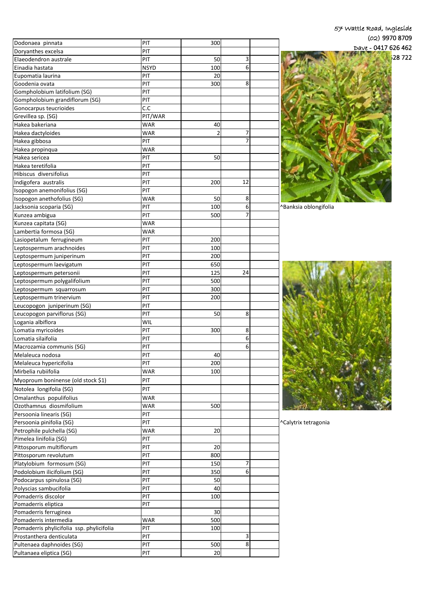| 57 Wattle Road, Ingleside |
|---------------------------|
| $(02)$ 9970 8709          |
| Dave - 0417 626 462       |
| 28722                     |

| Dodonaea pinnata                          | PIT         | 300 |    |                       |
|-------------------------------------------|-------------|-----|----|-----------------------|
| Doryanthes excelsa                        | PIT         |     |    |                       |
| Elaeodendron australe                     | PIT         | 50  | 3  |                       |
| Einadia hastata                           | <b>NSYD</b> | 100 | 6  |                       |
| Eupomatia laurina                         | PIT         | 20  |    |                       |
| Goodenia ovata                            | PIT         | 300 | 8  |                       |
| Gompholobium latifolium (SG)              | PIT         |     |    |                       |
| Gompholobium grandiflorum (SG)            | PIT         |     |    |                       |
| Gonocarpus teucrioides                    | C.C         |     |    |                       |
| Grevillea sp. (SG)                        | PIT/WAR     |     |    |                       |
| Hakea bakeriana                           | <b>WAR</b>  | 40  |    |                       |
| Hakea dactyloides                         | <b>WAR</b>  | 2   | 7  |                       |
|                                           | PIT         |     |    |                       |
| Hakea gibbosa                             |             |     |    |                       |
| Hakea propinqua                           | <b>WAR</b>  |     |    |                       |
| Hakea sericea                             | PIT         | 50  |    |                       |
| Hakea teretifolia                         | PIT         |     |    |                       |
| Hibiscus diversifolius                    | PIT         |     |    |                       |
| Indigofera australis                      | PIT         | 200 | 12 |                       |
| Isopogon anemonifolius (SG)               | PIT         |     |    |                       |
| Isopogon anethofolius (SG)                | <b>WAR</b>  | 50  | 8  |                       |
| Jacksonia scoparia (SG)                   | PIT         | 100 | 6  | ^Banksia oblongifolia |
| Kunzea ambigua                            | PIT         | 500 | 7  |                       |
| Kunzea capitata (SG)                      | <b>WAR</b>  |     |    |                       |
| Lambertia formosa (SG)                    | <b>WAR</b>  |     |    |                       |
| Lasiopetalum ferrugineum                  | PIT         | 200 |    |                       |
| Leptospermum arachnoides                  | PIT         | 100 |    |                       |
| Leptospermum juniperinum                  | PIT         | 200 |    |                       |
|                                           | PIT         | 650 |    |                       |
| Leptospermum laevigatum                   | PIT         | 125 | 24 |                       |
| Leptospermum petersonii                   |             |     |    |                       |
| Leptospermum polygalifolium               | PIT         | 500 |    |                       |
| Leptospermum squarrosum                   | PIT         | 300 |    |                       |
| Leptospermum trinervium                   | PIT         | 200 |    |                       |
| Leucopogon juniperinum (SG)               | PIT         |     |    |                       |
| Leucopogon parviflorus (SG)               | PIT         | 50  | 8  |                       |
| Logania albiflora                         | WIL         |     |    |                       |
| Lomatia myricoides                        | PIT         | 300 | 8  |                       |
| Lomatia silaifolia                        | PIT         |     | 6  |                       |
| Macrozamia communis (SG)                  | PIT         |     | 6  |                       |
| Melaleuca nodosa                          | PIT         | 40  |    |                       |
| Melaleuca hypericifolia                   | PIT         | 200 |    |                       |
| Mirbelia rubiifolia                       | <b>WAR</b>  | 100 |    |                       |
| Myoproum boninense (old stock \$1)        | PIT         |     |    |                       |
| Notolea longifolia (SG)                   | PIT         |     |    |                       |
| Omalanthus populifolius                   | <b>WAR</b>  |     |    |                       |
| Ozothamnus diosmifolium                   |             |     |    |                       |
|                                           | <b>WAR</b>  | 500 |    |                       |
| Persoonia linearis (SG)                   | PIT         |     |    |                       |
| Persoonia pinifolia (SG)                  | PIT         |     |    | ^Calytrix tetragonia  |
| Petrophile pulchella (SG)                 | <b>WAR</b>  | 20  |    |                       |
| Pimelea linifolia (SG)                    | PIT         |     |    |                       |
| Pittosporum multiflorum                   | PIT         | 20  |    |                       |
| Pittosporum revolutum                     | PIT         | 800 |    |                       |
| Platylobium formosum (SG)                 | PIT         | 150 | 7  |                       |
| Podolobium ilicifolium (SG)               | PIT         | 350 | 6  |                       |
| Podocarpus spinulosa (SG)                 | PIT         | 50  |    |                       |
| Polyscias sambucifolia                    | PIT         | 40  |    |                       |
| Pomaderris discolor                       | PIT         | 100 |    |                       |
| Pomaderris eliptica                       | PIT         |     |    |                       |
| Pomaderris ferruginea                     |             | 30  |    |                       |
| Pomaderris intermedia                     | <b>WAR</b>  | 500 |    |                       |
| Pomaderris phylicifolia ssp. phylicifolia | PIT         | 100 |    |                       |
| Prostanthera denticulata                  | PIT         |     | 3  |                       |
| Pultenaea daphnoides (SG)                 | PIT         | 500 | 8  |                       |
| Pultanaea eliptica (SG)                   | PIT         | 20  |    |                       |
|                                           |             |     |    |                       |



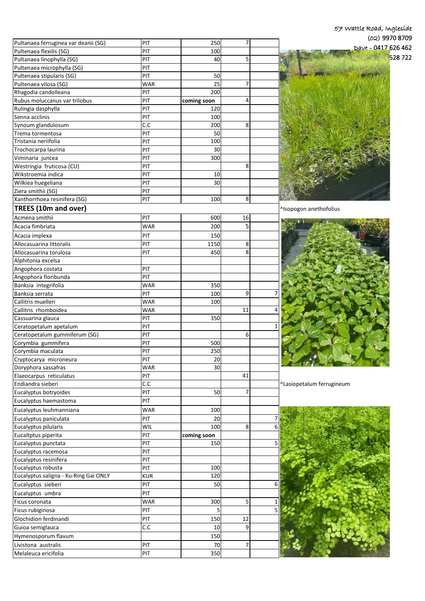|                                                         |            |             |    | 57 Wattle Road, Ingleside |
|---------------------------------------------------------|------------|-------------|----|---------------------------|
|                                                         |            |             |    | $(02)$ 9970 8709          |
| Pultanaea ferruginea var deanii (SG)                    | PIT        | 250         | 7  | $Dave - 0417626462$       |
| Pultenaea flexilis (SG)                                 | PIT        | 100         |    | 528722                    |
| Pultanaea linophylla (SG)                               | PIT<br>PIT | 40          | 5  |                           |
| Pultenaea microphylla (SG)<br>Pultenaea stipularis (SG) | PIT        | 50          |    |                           |
| Pultenaea vilosa (SG)                                   | <b>WAR</b> | 25          | 7  |                           |
| Rhagodia candolleana                                    | PIT        | 200         |    |                           |
| Rubus moluccanus var trilobus                           | PIT        | coming soon | 4  |                           |
| Rulingia dasphylla                                      | PIT        | 120         |    |                           |
| Senna acclinis                                          | PIT        | 100         |    |                           |
| Synoum glandulosum                                      | C.C        | 200         | 8  |                           |
| Trema tormentosa                                        | PIT        | 50          |    |                           |
| Tristania neriifolia                                    | PIT        | 100         |    |                           |
| Trochocarpa laurina                                     | PIT        | 30          |    |                           |
| Viminaria juncea                                        | PIT        | 300         |    |                           |
| Westringia fruticosa (CU)                               | PIT        |             | 8  |                           |
| Wikstroemia indica                                      | PIT        | 10          |    |                           |
| Wilkiea huegeliana                                      | PIT        | 30          |    |                           |
| Ziera smithii (SG)                                      | PIT        |             |    |                           |
| Xanthorrhoea resinifera (SG)                            | PIT        | 100         | 8  |                           |
| <b>TREES (10m and over)</b>                             |            |             |    | ^Isopogon anethofolius    |
| Acmena smithii                                          | PIT        | 600         | 16 |                           |
| Acacia fimbriata                                        | <b>WAR</b> | 200         | 5  |                           |
| Acacia implexa                                          | PIT        | 150         |    |                           |
| Allocasuarina littoralis                                | PIT        | 1150        | 8  |                           |
| Allocasuarina torulosa                                  | PIT        | 450         | 8  |                           |
| Alphitonia excelsa                                      |            |             |    |                           |
| Angophora costata                                       | PIT        |             |    |                           |
| Angophora floribunda                                    | PIT        |             |    |                           |
| Banksia integrifolia                                    | <b>WAR</b> | 350         |    |                           |
| Banksia serrata                                         | PIT        | 100         | 9  |                           |
| Callitris muelleri                                      | <b>WAR</b> | 100         |    |                           |
| Callitris rhomboidea                                    | <b>WAR</b> |             | 11 |                           |
| Cassuarina glauca                                       | PIT        | 350         |    |                           |
| Ceratopetalum apetalum                                  | PIT        |             |    |                           |
| Ceratopetalum gummiferum (SG)                           | PIT        |             | 6  |                           |
| Corymbia gummifera                                      | PIT        | 500         |    |                           |
| Corymbia maculata                                       | PIT        | 250         |    |                           |
| Cryptocarya microneura                                  | PIT        | 20          |    |                           |
| Doryphora sassafras                                     | <b>WAR</b> | 30          |    |                           |
| Elaeocarpus reticulatus                                 | PIT        |             | 41 |                           |
| Endiandra sieberi                                       | C.C        |             |    | ^Lasiopetalum ferrugineum |
| Eucalyptus botryoides                                   | PIT        | 50          | 7  |                           |
| Eucalyptus haemastoma                                   | PIT        |             |    |                           |
| Eucalyptus leuhmanniana                                 | <b>WAR</b> | 100         |    |                           |
| Eucalyptus paniculata                                   | PIT        | 20          |    |                           |
| Eucalyptus pilularis                                    | WIL        | 100         | 8  |                           |
| Eucaltptus piperita                                     | PIT        | coming soon |    |                           |
| Eucalyptus punctata                                     | PIT        | 150         |    |                           |
| Eucalyptus racemosa                                     | PIT        |             |    |                           |
| Eucalyptus resinifera                                   | PIT        |             |    |                           |
| Eucalyptus robusta                                      | PIT        | 100         |    |                           |
| Eucalyptus saligna - Ku-Ring Gai ONLY                   | <b>KUR</b> | 120         |    |                           |
| Eucalyptus sieberi                                      | PIT        | 50          |    |                           |
| Eucalyptus umbra                                        | PIT        |             |    |                           |
| Ficus coronata                                          | <b>WAR</b> | 300         | 5  |                           |
| Ficus rubiginosa                                        | PIT        |             |    |                           |
| Glochidion ferdinandi                                   | PIT        | 150         | 12 |                           |
| Guioa semiglauca                                        | C.C        | 10          | 9  |                           |
| Hymenosporum flavum                                     |            | 150         |    |                           |
| Livistona australis                                     | PIT        | 70          | 7  |                           |
| Melaleuca ericifolia                                    | PIT        | 350         |    |                           |